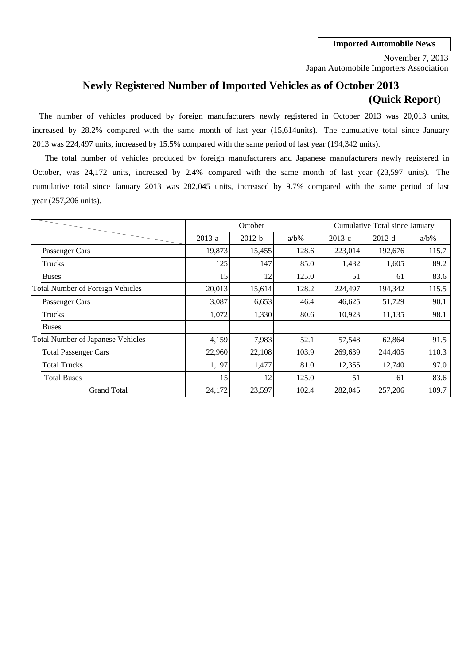Japan Automobile Importers Association November 7, 2013

# **Newly Registered Number of Imported Vehicles as of October 2013 (Quick Report)**

2013 was 224,497 units, increased by 15.5% compared with the same period of last year (194,342 units). The number of vehicles produced by foreign manufacturers newly registered in October 2013 was 20,013 units, increased by 28.2% compared with the same month of last year (15,614units). The cumulative total since January

cumulative total since January 2013 was 282,045 units, increased by 9.7% compared with the same period of last October, was 24,172 units, increased by 2.4% compared with the same month of last year (23,597 units). The year (257,206 units). The total number of vehicles produced by foreign manufacturers and Japanese manufacturers newly registered in

|                                          |          | October  |         |          | Cumulative Total since January |         |
|------------------------------------------|----------|----------|---------|----------|--------------------------------|---------|
|                                          | $2013-a$ | $2012-b$ | $a/b\%$ | $2013-c$ | $2012-d$                       | $a/b\%$ |
| Passenger Cars                           | 19,873   | 15,455   | 128.6   | 223,014  | 192,676                        | 115.7   |
| Trucks                                   | 125      | 147      | 85.0    | 1,432    | 1,605                          | 89.2    |
| <b>Buses</b>                             | 15       | 12       | 125.0   | 51       | 61                             | 83.6    |
| <b>Total Number of Foreign Vehicles</b>  | 20,013   | 15,614   | 128.2   | 224,497  | 194,342                        | 115.5   |
| Passenger Cars                           | 3,087    | 6,653    | 46.4    | 46,625   | 51,729                         | 90.1    |
| Trucks                                   | 1,072    | 1,330    | 80.6    | 10,923   | 11,135                         | 98.1    |
| <b>Buses</b>                             |          |          |         |          |                                |         |
| <b>Total Number of Japanese Vehicles</b> | 4,159    | 7,983    | 52.1    | 57,548   | 62,864                         | 91.5    |
| <b>Total Passenger Cars</b>              | 22,960   | 22,108   | 103.9   | 269,639  | 244,405                        | 110.3   |
| <b>Total Trucks</b>                      | 1,197    | 1,477    | 81.0    | 12,355   | 12,740                         | 97.0    |
| <b>Total Buses</b>                       | 15       | 12       | 125.0   | 51       | 61                             | 83.6    |
| <b>Grand Total</b>                       | 24,172   | 23,597   | 102.4   | 282,045  | 257,206                        | 109.7   |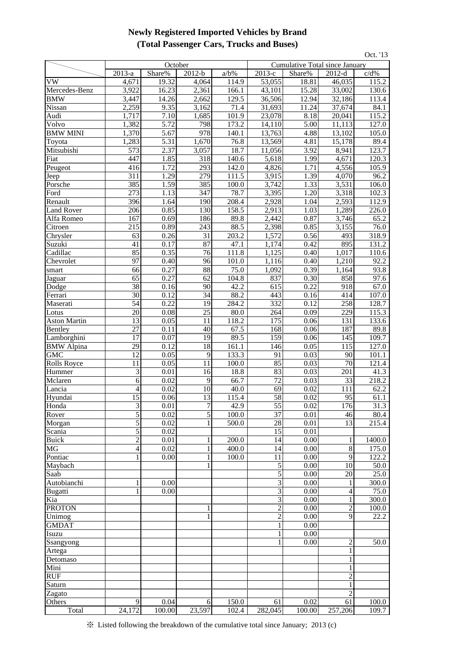## **Newly Registered Imported Vehicles by Brand (Total Passenger Cars, Trucks and Buses)**

|                        |                 |              |                 |                     |                     |                                |                 | Oct. '13      |
|------------------------|-----------------|--------------|-----------------|---------------------|---------------------|--------------------------------|-----------------|---------------|
|                        |                 | October      |                 |                     |                     | Cumulative Total since January |                 |               |
|                        | 2013-a          | Share%       | $2012-b$        | $a/b\%$             | 2013-е              | Share%                         | $2012-d$        | c/d%          |
| VW                     | 4,671           | 19.32        | 4.064           | 114.9               | $\overline{53,055}$ | 18.81                          | 46,035          | 115.2         |
| Mercedes-Benz          | 3,922           | 16.23        | 2,361           | 166.1               | 43,101              | 15.28                          | 33,002          | 130.6         |
| <b>BMW</b>             | 3,447           | 14.26        | 2,662           | $\overline{1}29.5$  | 36,506              | 12.94                          | 32,186          | 113.4         |
| Nissan                 | 2,259           | 9.35         | 3.162           | 71.4                | 31,693              | 11.24                          | 37,674          | 84.1          |
| Audi                   | 1,717           | 7.10         | 1,685           | 101.9               | 23,078              | 8.18                           | 20,041          | 115.2         |
| Volvo                  | 1,382           | 5.72         | 798             | 173.2               | 14,110              | 5.00                           | 11,113          | 127.0         |
| <b>BMW MINI</b>        | 1,370           | 5.67         | 978             | 140.1               | 13,763              | 4.88                           | 13,102          | 105.0         |
| Toyota                 | 1,283           | 5.31         | 1,670           | 76.8                | 13,569              | 4.81                           | 15,178          | 89.4          |
| Mitsubishi             | 573<br>447      | 2.37         | 3,057           | 18.7                | 11,056              | 3.92                           | 8,941           | 123.7         |
| Fiat                   | <br>416         | 1.85         | 318             | 140.6               | 5,618               | 1.99                           | 4,671           | 120.3         |
| Peugeot                | 311             | 1.72<br>1.29 | 293<br>279      | 142.0<br>111.5      | 4,826<br>3,915      | 1.71<br>1.39                   | 4,556<br>4,070  | 105.9<br>96.2 |
| Jeep<br>Porsche        | 385             | 1.59         | 385             | 100.0               | 3,742               | 1.33                           | 3,531           | 106.0         |
| Ford                   | 273             | 1.13         | 347             | 78.7                | 3,395               | 1.20                           | 3,318           | 102.3         |
| Renault                | 396             | 1.64         | 190             | 208.4               | 2,928               | 1.04                           | 2,593           | 112.9         |
| <b>Land Rover</b>      | 206             | 0.85         | 130             | 158.5               | 2,913               | 1.03                           | 1,289           | 226.0         |
| Alfa Romeo             | 167             | 0.69         | 186             | 89.8                | 2,442               | 0.87                           | 3,746           | 65.2          |
| Citroen                | 215             | 0.89         | 243             | 88.5                | 2,398               | 0.85                           | 3,155           | 76.0          |
| Chrysler               | 63              | 0.26         | 31              | 203.2               | 1,572               | 0.56                           | 493             | 318.9         |
| Suzuki                 | $\overline{41}$ | 0.17         | $\overline{87}$ | $\frac{47.1}{47.1}$ | 1,174               | 0.42                           | $\frac{895}{ }$ | 131.2         |
| Cadillac               | 85              | 0.35         | 76              | 111.8               | 1,125               | 0.40                           | 1,017           | 110.6         |
| Chevrolet              | 97              | 0.40         | 96              | 101.0               | 1,116               | 0.40                           | 1,210           | 92.2          |
| smart                  | 66              | 0.27         | 88              | $\overline{75.0}$   | 1,092               | 0.39                           | 1,164           | 93.8          |
| Jaguar                 | 65              | 0.27         | 62              | 104.8               | 837                 | 0.30                           | 858             | 97.6          |
| Dodge                  | $\overline{38}$ | 0.16         | 90              | 42.2                | 615                 | 0.22                           | 918             | 67.0          |
| Ferrari                | $\overline{30}$ | 0.12         | $\overline{34}$ | 88.2                | 443                 | 0.16                           | 414             | 107.0         |
| Maserati               | 54              | 0.22         | 19              | 284.2               | 332                 | 0.12                           | 258             | 128.7         |
| Lotus                  | 20              | 0.08         | 25              | 80.0                | 264                 | 0.09                           | 229             | 115.3         |
| <b>Aston Martin</b>    | 13              | 0.05         | 11              | 118.2               | 175                 | 0.06                           | 131             | 133.6         |
| <b>Bentley</b>         | $\overline{27}$ | 0.11         | 40              | 67.5                | 168                 | 0.06                           | 187             | 89.8          |
| Lamborghini            | 17              | 0.07         | 19              | 89.5                | 159                 | 0.06                           | 145             | 109.7         |
| <b>BMW</b> Alpina      | 29              | 0.12         | 18              | 161.1               | 146                 | 0.05                           | 115             | 127.0         |
| <b>GMC</b>             | 12              | 0.05         | 9               | 133.3               | 91                  | 0.03                           | 90              | 101.1         |
| <b>Rolls Royce</b>     | 11              | 0.05         | 11              | 100.0               | 85                  | 0.03                           | 70              | 121.4         |
| Hummer                 | 3               | 0.01         | 16              | 18.8                | 83                  | 0.03                           | 201             | 41.3          |
| Mclaren                | $\overline{6}$  | 0.02         | 9               | 66.7                | 72                  | 0.03                           | 33              | 218.2         |
| Lancia                 | $\overline{4}$  | 0.02         | 10              | 40.0                | 69                  | 0.02                           | 111             | 62.2          |
| Hyundai                | 15              | 0.06         | 13              | 115.4               | 58                  | 0.02                           | 95              | 61.1          |
| Honda                  | 31<br>5         | 0.01         | 7               | 42.9                | 55                  | 0.02                           | 176             | 31.3          |
| Rover                  |                 | 0.02         | $\overline{5}$  | 1 <sub>00.0</sub>   | 37                  | 0.01                           | 46              | 80.4          |
| Morgan                 | 5<br>5          | 0.02<br>0.02 |                 | 500.0               | 28<br>15            | 0.01<br>0.01                   | 13              | 215.4         |
| Scania<br><b>Buick</b> | $\overline{c}$  | 0.01         |                 | 200.0               | 14                  | 0.00                           | 1               | 1400.0        |
| MG                     | $\overline{4}$  | 0.02         | 1               | 400.0               | 14                  | 0.00                           | $\,$ 8 $\,$     | 175.0         |
| Pontiac                | 1               | 0.00         | 1               | 100.0               | 11                  | 0.00                           | 9               | 122.2         |
| Maybach                |                 |              |                 |                     | 5                   | 0.00                           | 10              | 50.0          |
| Saab                   |                 |              |                 |                     | 5                   | 0.00                           | 20              | 25.0          |
| Autobianchi            |                 | 0.00         |                 |                     | 3                   | 0.00                           |                 | 300.0         |
| Bugatti                |                 | 0.00         |                 |                     | 3                   | 0.00                           | 4               | 75.0          |
| Kia                    |                 |              |                 |                     | 3                   | 0.00                           | $\frac{1}{2}$   | 300.0         |
| <b>PROTON</b>          |                 |              |                 |                     | 2                   | 0.00                           | 2               | 100.0         |
| Unimog                 |                 |              |                 |                     | $\overline{2}$      | 0.00                           | 9               | 22.2          |
| <b>GMDAT</b>           |                 |              |                 |                     | 1                   | 0.00                           |                 |               |
| Isuzu                  |                 |              |                 |                     | 1                   | 0.00                           |                 |               |
| Ssangyong              |                 |              |                 |                     | 1                   | 0.00                           | $\overline{c}$  | 50.0          |
| Artega                 |                 |              |                 |                     |                     |                                | 1               |               |
| Detomaso               |                 |              |                 |                     |                     |                                |                 |               |
| Mini                   |                 |              |                 |                     |                     |                                |                 |               |
| <b>RUF</b>             |                 |              |                 |                     |                     |                                | $\overline{2}$  |               |
| <b>Saturn</b>          |                 |              |                 |                     |                     |                                |                 |               |
| Zagato                 |                 |              |                 |                     |                     |                                |                 |               |
| Others                 | 9               | 0.04         | 6               | 150.0               | 61                  | 0.02                           | 61              | 100.0         |
| Total                  | 24,172          | 100.00       | 23,597          | 102.4               | 282,045             | 100.00                         | 257,206         | 109.7         |

※ Listed following the breakdown of the cumulative total since January; 2013 (c)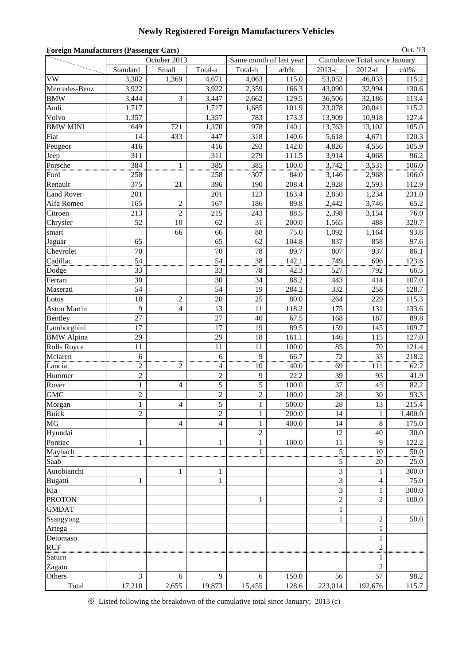## **Newly Registered Foreign Manufacturers Vehicles**

| Oct. '13<br><b>Foreign Manufacturers (Passenger Cars)</b><br><b>Cumulative Total since January</b> |                |                         |                |                |                         |                |                |         |  |  |  |  |
|----------------------------------------------------------------------------------------------------|----------------|-------------------------|----------------|----------------|-------------------------|----------------|----------------|---------|--|--|--|--|
|                                                                                                    |                | October 2013            |                |                | Same month of last year |                |                |         |  |  |  |  |
|                                                                                                    | Standard       | Small                   | Total-a        | Total-b        | $a/b\%$                 | $2013-c$       | $2012-d$       | $c/d\%$ |  |  |  |  |
| VW                                                                                                 | 3,302          | 1,369                   | 4,671          | 4,063          | 115.0                   | 53,052         | 46,033         | 115.2   |  |  |  |  |
| Mercedes-Benz                                                                                      | 3,922          |                         | 3,922          | 2,359          | 166.3                   | 43,090         | 32,994         | 130.6   |  |  |  |  |
| <b>BMW</b>                                                                                         | 3,444          | 3                       | 3,447          | 2,662          | 129.5                   | 36,506         | 32,186         | 113.4   |  |  |  |  |
| Audi                                                                                               | 1,717          |                         | 1,717          | 1,685          | 101.9                   | 23,078         | 20,041         | 115.2   |  |  |  |  |
| Volvo                                                                                              | 1,357          |                         | 1,357          | 783            | 173.3                   | 13,909         | 10,918         | 127.4   |  |  |  |  |
| <b>BMW MINI</b>                                                                                    | 649            | 721                     | 1,370          | 978            | 140.1                   | 13,763         | 13,102         | 105.0   |  |  |  |  |
| Fiat                                                                                               | 14             | 433                     | 447            | 318            | 140.6                   | 5,618          | 4,671          | 120.3   |  |  |  |  |
| Peugeot                                                                                            | 416            |                         | 416            | 293            | 142.0                   | 4,826          | 4,556          | 105.9   |  |  |  |  |
| Jeep                                                                                               | 311            |                         | 311            | 279            | 111.5                   | 3,914          | 4,068          | 96.2    |  |  |  |  |
| Porsche                                                                                            | 384            |                         | 385            | 385            | 100.0                   | 3,742          | 3,531          | 106.0   |  |  |  |  |
| Ford                                                                                               | 258            |                         | 258            | 307            | 84.0                    | 3,146          | 2,968          | 106.0   |  |  |  |  |
| Renault                                                                                            | 375            | 21                      | 396            | 190            | 208.4                   | 2,928          | 2,593          | 112.9   |  |  |  |  |
| <b>Land Rover</b>                                                                                  | 201            |                         | 201            | 123            | 163.4                   | 2,850          | 1,234          | 231.0   |  |  |  |  |
| Alfa Romeo                                                                                         | 165            | $\overline{c}$          | 167            | 186            | 89.8                    | 2,442          | 3,746          | 65.2    |  |  |  |  |
| Citroen                                                                                            | 213            | $\overline{c}$          | 215            | 243            | 88.5                    | 2,398          | 3,154          | 76.0    |  |  |  |  |
| Chrysler                                                                                           | 52             | 10                      | 62             | 31             | 200.0                   | 1,565          | 488            | 320.7   |  |  |  |  |
| smart                                                                                              |                | 66                      | 66             | 88             | 75.0                    | 1,092          | 1,164          | 93.8    |  |  |  |  |
| Jaguar                                                                                             | 65             |                         | 65             | 62             | 104.8                   | 837            | 858            | 97.6    |  |  |  |  |
| Chevrolet                                                                                          | 70             |                         | 70             | 78             | 89.7                    | 807            | 937            | 86.1    |  |  |  |  |
| Cadillac                                                                                           | 54             |                         | 54             | $\frac{38}{2}$ | 142.1                   | 749            | 606            | 123.6   |  |  |  |  |
| Dodge                                                                                              | 33             |                         | 33             | 78             | 42.3                    | 527            | 792            | 66.5    |  |  |  |  |
| Ferrari                                                                                            | 30             |                         | 30             | 34             | 88.2                    | 443            | 414            | 107.0   |  |  |  |  |
| Maserati                                                                                           | 54             |                         | 54             | 19             | 284.2                   | 332            | 258            | 128.7   |  |  |  |  |
| Lotus                                                                                              | 18             | $\overline{c}$          | 20             | 25             | 80.0                    | 264            | 229            | 115.3   |  |  |  |  |
| <b>Aston Martin</b>                                                                                | 9              | $\overline{4}$          | 13             | 11             | 118.2                   | 175            | 131            | 133.6   |  |  |  |  |
| Bentley                                                                                            | 27             |                         | 27             | 40             | 67.5                    | 168            | 187            | 89.8    |  |  |  |  |
| Lamborghini                                                                                        | 17             |                         | 17             | 19             | 89.5                    | 159            | 145            | 109.7   |  |  |  |  |
| <b>BMW</b> Alpina                                                                                  | 29             |                         | 29             | 18             | 161.1                   | 146            | 115            | 127.0   |  |  |  |  |
| <b>Rolls Royce</b>                                                                                 | 11             |                         | 11             | 11             | 100.0                   | 85             | 70             | 121.4   |  |  |  |  |
| Mclaren                                                                                            | 6              |                         | 6              | 9              | 66.7                    | 72             | 33             | 218.2   |  |  |  |  |
| Lancia                                                                                             | $\overline{c}$ | 2                       | 4              | 10             | 40.0                    | 69             | 111            | 62.2    |  |  |  |  |
| Hummer                                                                                             | $\overline{c}$ |                         | $\sqrt{2}$     | 9              | 22.2                    | 39             | 93             | 41.9    |  |  |  |  |
| Rover                                                                                              | $\mathbf{1}$   | $\overline{\mathbf{4}}$ | 5              | $\overline{5}$ | 100.0                   | 37             | 45             | 82.2    |  |  |  |  |
| <b>GMC</b>                                                                                         | $\overline{c}$ |                         | $\overline{c}$ | $\overline{2}$ | 100.0                   | 28             | 30             | 93.3    |  |  |  |  |
| Morgan                                                                                             | 1              | 4                       | 5              | 1              | 500.0                   | 28             | 13             | 215.4   |  |  |  |  |
| <b>Buick</b>                                                                                       | $\overline{2}$ |                         | $\overline{c}$ | $\mathbf{1}$   | 200.0                   | 14             | 1              | 1,400.0 |  |  |  |  |
| <b>MG</b>                                                                                          |                | $\overline{4}$          | 4              | $\mathbf{1}$   | 400.0                   | 14             | 8              | 175.0   |  |  |  |  |
| Hyundai                                                                                            |                |                         |                | $\overline{c}$ |                         | 12             | 40             | 30.0    |  |  |  |  |
| Pontiac                                                                                            | $\mathbf{1}$   |                         | 1              | $\mathbf{1}$   | 100.0                   | 11             | 9              | 122.2   |  |  |  |  |
| Maybach                                                                                            |                |                         |                | 1              |                         | 5<br>wūm       | 10<br>unui     | 50.0    |  |  |  |  |
| Saab                                                                                               |                |                         |                |                |                         | 5              | 20             | 25.0    |  |  |  |  |
| Autobianchi                                                                                        |                | $\mathbf{1}$            | 1              |                |                         | 3              | 1              | 300.0   |  |  |  |  |
| <b>Bugatti</b>                                                                                     | 1              |                         | 1              |                |                         | $\mathfrak{Z}$ | 4              | 75.0    |  |  |  |  |
| Kia                                                                                                |                |                         |                |                |                         | 3              | 1              | 300.0   |  |  |  |  |
| <b>PROTON</b>                                                                                      |                |                         |                | $\mathbf{1}$   |                         | $\overline{c}$ | $\overline{c}$ | 100.0   |  |  |  |  |
| <b>GMDAT</b>                                                                                       |                |                         |                |                |                         | 1              |                |         |  |  |  |  |
| Ssangyong                                                                                          |                |                         |                |                |                         | 1              | $\overline{c}$ | 50.0    |  |  |  |  |
| Artega                                                                                             |                |                         |                |                |                         |                | 1              |         |  |  |  |  |
| Detomaso                                                                                           |                |                         |                |                |                         |                | 1              |         |  |  |  |  |
| <b>RUF</b>                                                                                         |                |                         |                |                |                         |                | $\frac{2}{2}$  |         |  |  |  |  |
| Saturn                                                                                             |                |                         |                |                |                         |                |                |         |  |  |  |  |
| Zagato                                                                                             |                |                         |                |                |                         |                | $\overline{c}$ |         |  |  |  |  |
| Others                                                                                             | 3              | 6                       | 9              | 6              | 150.0                   | 56             | 57             | 98.2    |  |  |  |  |
| Total                                                                                              | 17,218         | 2,655                   | 19,873         | 15,455         | 128.6                   | 223,014        | 192,676        | 115.7   |  |  |  |  |

※ Listed following the breakdown of the cumulative total since January; 2013 (c)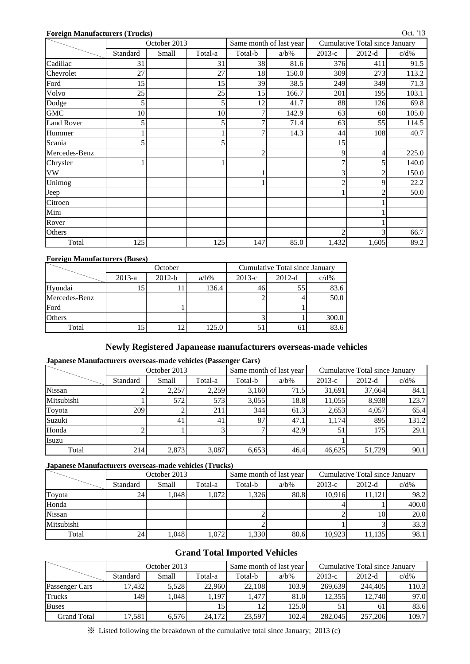#### **Foreign Manufacturers (Trucks)**

|                   |          | October 2013 |         | Same month of last year |         | Cumulative Total since January |                |         |
|-------------------|----------|--------------|---------|-------------------------|---------|--------------------------------|----------------|---------|
|                   | Standard | Small        | Total-a | Total-b                 | $a/b\%$ | $2013-c$                       | $2012-d$       | $c/d\%$ |
| Cadillac          | 31       |              | 31      | 38                      | 81.6    | 376                            | 411            | 91.5    |
| Chevrolet         | 27       |              | 27      | 18                      | 150.0   | 309                            | 273            | 113.2   |
| Ford              | 15       |              | 15      | 39                      | 38.5    | 249                            | 349            | 71.3    |
| Volvo             | 25       |              | 25      | 15                      | 166.7   | 201                            | 195            | 103.1   |
| Dodge             | 5        |              |         | 12                      | 41.7    | 88                             | 126            | 69.8    |
| <b>GMC</b>        | 10       |              | 10      | 7                       | 142.9   | 63                             | 60             | 105.0   |
| <b>Land Rover</b> |          |              |         | 7                       | 71.4    | 63                             | 55             | 114.5   |
| Hummer            |          |              |         | 7                       | 14.3    | 44                             | 108            | 40.7    |
| Scania            |          |              |         |                         |         | 15                             |                |         |
| Mercedes-Benz     |          |              |         | $\overline{c}$          |         | 9                              | 4              | 225.0   |
| Chrysler          |          |              |         |                         |         | 7                              | 5              | 140.0   |
| ${\rm VW}$        |          |              |         |                         |         | 3                              | 2              | 150.0   |
| Unimog            |          |              |         |                         |         | $\overline{c}$                 | 9              | 22.2    |
| Jeep              |          |              |         |                         |         |                                | $\overline{c}$ | 50.0    |
| Citroen           |          |              |         |                         |         |                                |                |         |
| Mini              |          |              |         |                         |         |                                |                |         |
| Rover             |          |              |         |                         |         |                                |                |         |
| Others            |          |              |         |                         |         | $\mathfrak{D}$                 | 3              | 66.7    |
| Total             | 125      |              | 125     | 147                     | 85.0    | 1,432                          | 1,605          | 89.2    |

#### **Foreign Manufacturers (Buses)**

|               |          | October  |         | Cumulative Total since January |          |         |  |  |
|---------------|----------|----------|---------|--------------------------------|----------|---------|--|--|
|               | $2013-a$ | $2012-b$ | $a/b\%$ | $2013-c$                       | $2012-d$ | $c/d\%$ |  |  |
| Hyundai       |          |          | 136.4   | 46                             | 55       | 83.6    |  |  |
| Mercedes-Benz |          |          |         |                                |          | 50.0    |  |  |
| Ford          |          |          |         |                                |          |         |  |  |
| Others        |          |          |         |                                |          | 300.0   |  |  |
| Total         | 15       | 2        | 125.0   |                                |          | 83.6    |  |  |

### **Newly Registered Japanease manufacturers overseas-made vehicles**

#### **Japanese Manufacturers overseas-made vehicles (Passenger Cars)**

|               |          | October 2013   |         |         | Same month of last year | Cumulative Total since January |          |         |  |
|---------------|----------|----------------|---------|---------|-------------------------|--------------------------------|----------|---------|--|
|               | Standard | Small          | Total-a | Total-b | $a/b\%$                 | $2013-c$                       | $2012-d$ | $c/d\%$ |  |
| <b>Nissan</b> |          | 2,257          | 2,259   | 3,160   | 71.5                    | 31,691                         | 37,664   | 84.1    |  |
| Mitsubishi    |          | 572            | 573     | 3,055   | 18.8                    | 11,055                         | 8,938    | 123.7   |  |
| Toyota        | 209      |                | 211     | 344     | 61.3                    | 2,653                          | 4,057    | 65.4    |  |
| Suzuki        |          | 4 <sub>1</sub> | 41      | 87      | 47.1                    | 1.174                          | 895      | 131.2   |  |
| Honda         |          |                |         |         | 42.9                    | 51                             | 175      | 29.1    |  |
| Isuzu         |          |                |         |         |                         |                                |          |         |  |
| Total         | 214      | 2,873          | 3,087   | 6,653   | 46.4                    | 46,625                         | 51,729   | 90.1    |  |

#### **Japanese Manufacturers overseas-made vehicles (Trucks)**

|               |          | October 2013 |         |         | Same month of last year | Cumulative Total since January |          |         |  |
|---------------|----------|--------------|---------|---------|-------------------------|--------------------------------|----------|---------|--|
|               | Standard | Small        | Total-a | Total-b | $a/b\%$                 | $2013-c$                       | $2012-d$ | $c/d\%$ |  |
| Toyota        | 24       | .048         | 1.072   | 1.326   | 80.8                    | 10.916                         | 11,121   | 98.2    |  |
| Honda         |          |              |         |         |                         |                                |          | 400.0   |  |
| <b>Nissan</b> |          |              |         |         |                         |                                | 10       | 20.0    |  |
| Mitsubishi    |          |              |         |         |                         |                                |          | 33.3    |  |
| Total         | 24       | .048         | 1.072   | 1.330   | 80.6                    | 10.923                         | 11,135   | 98.1    |  |

### **Grand Total Imported Vehicles**

|                    |          | October 2013 |         |         | Same month of last year | Cumulative Total since January |          |         |  |
|--------------------|----------|--------------|---------|---------|-------------------------|--------------------------------|----------|---------|--|
|                    | Standard | Small        | Total-a | Total-b | $a/b\%$                 | $2013-c$                       | $2012-d$ | $c/d\%$ |  |
| Passenger Cars     | 17.432   | 5.528        | 22.960  | 22.108  | 103.9                   | 269,639                        | 244,405  | 110.3   |  |
| <b>Trucks</b>      | 1491     | .048         | .197    | 1.477   | 81.0                    | 12.355                         | 12.740   | 97.0    |  |
| <b>Buses</b>       |          |              |         | 12      | 125.0                   |                                | 61       | 83.6    |  |
| <b>Grand Total</b> | 17,581   | 6.576        | 24,172  | 23,597  | 102.4                   | 282,045                        | 257,206  | 109.7   |  |

※ Listed following the breakdown of the cumulative total since January; 2013 (c)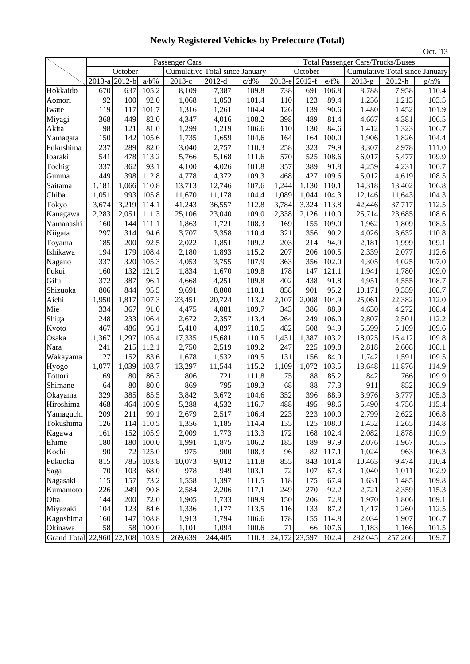Passenger Cars Total Passenger Cars/Trucks/Buses October Cumulative Total since January October Cumulative Total since January 2013-a 2012-b a/b% 2013-c 2012-d c/d% 2013-e 2012-f e/f% 2013-g 2012-h g/h% Hokkaido 670 637 105.2 8,109 7,387 109.8 738 691 106.8 8,788 7,958 110.4 Aomori | 92 100 92.0 1,068 1,053 101.4 110 123 89.4 1,256 1,213 103.5 Iwate 119 117 101.7 1,316 1,261 104.4 126 139 90.6 1,480 1,452 101.9 Miyagi 368 449 82.0 4,347 4,016 108.2 398 489 81.4 4,667 4,381 106.5 Akita 98 121 81.0 1,299 1,219 106.6 110 130 84.6 1,412 1,323 106.7 Yamagata | 150 142 105.6 1,735 1,659 104.6 164 164 100.0 1,906 1,826 104.4 Fukushima 237 289 82.0 3,040 2,757 110.3 258 323 79.9 3,307 2,978 111.0 Ibaraki 541 478 113.2 5,766 5,168 111.6 570 525 108.6 6,017 5,477 109.9 Tochigi 337 362 93.1 4,100 4,026 101.8 357 389 91.8 4,259 4,231 100.7 Gunma | 449 398 112.8 4,778 4,372 109.3 468 427 109.6 5,012 4,619 108.5 Saitama | 1,181 1,066 110.8 | 13,713 12,746 107.6 | 1,244 1,130 110.1 | 14,318 13,402 106.8 Chiba | 1,051 993 105.8 11,670 11,178 104.4 1,089 1,044 104.3 12,146 11,643 104.3 Tokyo 3,674 3,219 114.1 41,243 36,557 112.8 3,784 3,324 113.8 42,446 37,717 112.5 Kanagawa | 2,283 | 2,051 | 111.3 | 25,106 | 23,040 | 109.0 | 2,338 | 2,126 | 110.0 | 25,714 | 23,685 | 108.6 Yamanashi 160 144 111.1 1,863 1,721 108.3 169 155 109.0 1,962 1,809 108.5 Niigata | 297 | 314 94.6 | 3,707 | 3,358 | 110.4 | 321 | 356 90.2 | 4,026 | 3,632 | 110.8 Toyama 185 200 92.5 2,022 1,851 109.2 203 214 94.9 2,181 1,999 109.1 Ishikawa 194 179 108.4 2,180 1,893 115.2 207 206 100.5 2,339 2,077 112.6 Nagano | 337 320 105.3 4,053 3,755 107.9 363 356 102.0 4,305 4,025 107.0 Fukui 160 132 121.2 1,834 1,670 109.8 178 147 121.1 1,941 1,780 109.0 Gifu | 372 387 96.1 4,668 4,251 109.8 402 438 91.8 4,951 4,555 108.7 Shizuoka | 806 844 95.5 9,691 8,800 110.1 858 901 95.2 10,171 9,359 108.7 Aichi | 1,950 1,817 107.3 | 23,451 20,724 113.2 | 2,107 2,008 104.9 | 25,061 22,382 112.0 Mie 334 367 91.0 4,475 4,081 109.7 343 386 88.9 4,630 4,272 108.4 Shiga | 248 233 106.4 2,672 2,357 113.4 264 249 106.0 2,807 2,501 112.2 Kyoto | 467 | 486 96.1 | 5,410 | 4,897 | 110.5 | 482 | 508 94.9 | 5,599 | 5,109 | 109.6 Osaka 1,367 1,297 105.4 17,335 15,681 110.5 1,431 1,387 103.2 18,025 16,412 109.8 Nara | 241 215 112.1 2,750 2,519 109.2 247 225 109.8 2,818 2,608 108.1 Wakayama 127 152 83.6 1,678 1,532 109.5 131 156 84.0 1,742 1,591 109.5 Hyogo 1,077 1,039 103.7 13,297 11,544 115.2 1,109 1,072 103.5 13,648 11,876 114.9 Tottori 69 80 86.3 806 721 111.8 75 88 85.2 842 766 109.9 Shimane | 64 80 80.0 | 869 795 109.3 | 68 88 77.3 | 911 852 106.9 Okayama 329 385 85.5 3,842 3,672 104.6 352 396 88.9 3,976 3,777 105.3 Hiroshima | 468 464 100.9 | 5,288 4,532 116.7 | 488 495 98.6 | 5,490 4,756 115.4 Yamaguchi 209 211 99.1 2,679 2,517 106.4 223 223 100.0 2,799 2,622 106.8 Tokushima 126 114 110.5 1,356 1,185 114.4 135 125 108.0 1,452 1,265 114.8 Kagawa | 161 152 105.9 2,009 1,773 113.3 172 168 102.4 2,082 1,878 110.9 Ehime | 180 180 100.0 1,991 1,875 106.2 185 189 97.9 2,076 1,967 105.5 Kochi 90 72 125.0 975 900 108.3 96 82 117.1 1,024 963 106.3 Fukuoka 815 785 103.8 10,073 9,012 111.8 855 843 101.4 10,463 9,474 110.4 Saga | 70 103 68.0 978 949 103.1 72 107 67.3 1,040 1,011 102.9 Nagasaki | 115 | 157 73.2 | 1,558 | 1,397 | 111.5 | 118 | 175 67.4 | 1,631 | 1,485 | 109.8 Kumamoto | 226 | 249 | 90.8 | 2,584 | 2,206 | 117.1 | 249 | 270 | 92.2 | 2,721 | 2,359 | 115.3 Oita 144 200 72.0 1,905 1,733 109.9 150 206 72.8 1,970 1,806 109.1 Miyazaki 104 123 84.6 1,336 1,177 113.5 116 133 87.2 1,417 1,260 112.5 Kagoshima 160 147 108.8 1,913 1,794 106.6 178 155 114.8 2,034 1,907 106.7 Okinawa 58 58 100.0 1,101 1,094 100.6 71 66 107.6 1,183 1,166 101.5 Grand Total 22,960 22,108 103.9 269,639 244,405 110.3 24,172 23,597 102.4 282,045 257,206 109.7 Oct. '13

## **Newly Registered Vehicles by Prefecture (Total)**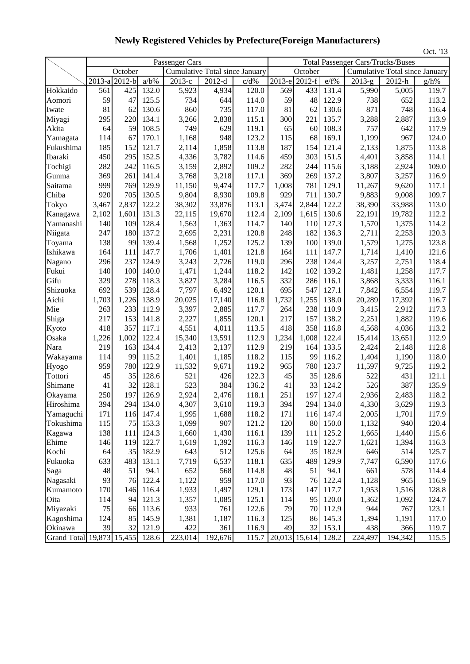|                                 |               |         |         |                |                                       |         |       |                     |           |          |                                          | Oct. '13 |
|---------------------------------|---------------|---------|---------|----------------|---------------------------------------|---------|-------|---------------------|-----------|----------|------------------------------------------|----------|
|                                 |               |         |         | Passenger Cars |                                       |         |       |                     |           |          | <b>Total Passenger Cars/Trucks/Buses</b> |          |
|                                 |               | October |         |                | <b>Cumulative Total since January</b> |         |       | October             |           |          | <b>Cumulative Total since January</b>    |          |
|                                 | 2013-a 2012-b |         | $a/b\%$ | 2013-е         | $2012-d$                              | $c/d\%$ |       | 2013-e 2012-f       | e/f%      | $2013-g$ | 2012-h                                   | g/h%     |
| Hokkaido                        | 561           | 425     | 132.0   | 5,923          | 4,934                                 | 120.0   | 569   | 433                 | 131.4     | 5,990    | 5,005                                    | 119.7    |
| Aomori                          | 59            | 47      | 125.5   | 734            | 644                                   | 114.0   | 59    | 48                  | 122.9     | 738      | 652                                      | 113.2    |
| Iwate                           | 81            | 62      | 130.6   | 860            | 735                                   | 117.0   | 81    | 62                  | 130.6     | 871      | 748                                      | 116.4    |
| Miyagi                          | 295           | 220     | 134.1   | 3,266          | 2,838                                 | 115.1   | 300   | 221                 | 135.7     | 3,288    | 2,887                                    | 113.9    |
| Akita                           | 64            | 59      | 108.5   | 749            | 629                                   | 119.1   | 65    | 60                  | 108.3     | 757      | 642                                      | 117.9    |
| Yamagata                        | 114           | 67      | 170.1   | 1,168          | 948                                   | 123.2   | 115   | 68                  | 169.1     | 1,199    | 967                                      | 124.0    |
| Fukushima                       | 185           | 152     | 121.7   | 2,114          | 1,858                                 | 113.8   | 187   | 154                 | 121.4     | 2,133    | 1,875                                    | 113.8    |
| Ibaraki                         | 450           | 295     | 152.5   | 4,336          | 3,782                                 | 114.6   | 459   | 303                 | 151.5     | 4,401    | 3,858                                    | 114.1    |
| Tochigi                         | 282           | 242     | 116.5   | 3,159          | 2,892                                 | 109.2   | 282   | 244                 | 115.6     | 3,188    | 2,924                                    | 109.0    |
| Gunma                           | 369           | 261     | 141.4   | 3,768          | 3,218                                 | 117.1   | 369   | 269                 | 137.2     | 3,807    | 3,257                                    | 116.9    |
| Saitama                         | 999           | 769     | 129.9   | 11,150         | 9,474                                 | 117.7   | 1,008 | 781                 | 129.1     | 11,267   | 9,620                                    | 117.1    |
| Chiba                           | 920           | 705     | 130.5   | 9,804          | 8,930                                 | 109.8   | 929   | 711                 | 130.7     | 9,883    | 9,008                                    | 109.7    |
| Tokyo                           | 3,467         | 2,837   | 122.2   | 38,302         | 33,876                                | 113.1   | 3,474 | 2,844               | 122.2     | 38,390   | 33,988                                   | 113.0    |
| Kanagawa                        | 2,102         | 1,601   | 131.3   | 22,115         | 19,670                                | 112.4   | 2,109 | 1,615               | 130.6     | 22,191   | 19,782                                   | 112.2    |
| Yamanashi                       | 140           | 109     | 128.4   | 1,563          | 1,363                                 | 114.7   | 140   | 110                 | 127.3     | 1,570    | 1,375                                    | 114.2    |
| Niigata                         | 247           | 180     | 137.2   | 2,695          | 2,231                                 | 120.8   | 248   | 182                 | 136.3     | 2,711    | 2,253                                    | 120.3    |
| Toyama                          | 138           | 99      | 139.4   | 1,568          | 1,252                                 | 125.2   | 139   | 100                 | 139.0     | 1,579    | 1,275                                    | 123.8    |
| Ishikawa                        | 164           | 111     | 147.7   | 1,706          | 1,401                                 | 121.8   | 164   | 111                 | 147.7     | 1,714    | 1,410                                    | 121.6    |
| Nagano                          | 296           | 237     | 124.9   | 3,243          | 2,726                                 | 119.0   | 296   | 238                 | 124.4     | 3,257    | 2,751                                    | 118.4    |
| Fukui                           | 140           | 100     | 140.0   | 1,471          | 1,244                                 | 118.2   | 142   | 102                 | 139.2     | 1,481    | 1,258                                    | 117.7    |
| Gifu                            | 329           | 278     | 118.3   | 3,827          | 3,284                                 | 116.5   | 332   | 286                 | 116.1     | 3,868    | 3,333                                    | 116.1    |
| Shizuoka                        | 692           | 539     | 128.4   | 7,797          | 6,492                                 | 120.1   | 695   | 547                 | 127.1     | 7,842    | 6,554                                    | 119.7    |
| Aichi                           | 1,703         | 1,226   | 138.9   | 20,025         | 17,140                                | 116.8   | 1,732 | 1,255               | 138.0     | 20,289   | 17,392                                   | 116.7    |
| Mie                             | 263           | 233     | 112.9   | 3,397          | 2,885                                 | 117.7   | 264   | 238                 | 110.9     | 3,415    | 2,912                                    | 117.3    |
| Shiga                           | 217           | 153     | 141.8   | 2,227          | 1,855                                 | 120.1   | 217   | 157                 | 138.2     | 2,251    | 1,882                                    | 119.6    |
| Kyoto                           | 418           | 357     | 117.1   | 4,551          | 4,011                                 | 113.5   | 418   | 358                 | 116.8     | 4,568    | 4,036                                    | 113.2    |
| Osaka                           | 1,226         | 1,002   | 122.4   | 15,340         | 13,591                                | 112.9   | 1,234 | 1,008               | 122.4     | 15,414   | 13,651                                   | 112.9    |
| Nara                            | 219           | 163     | 134.4   | 2,413          | 2,137                                 | 112.9   | 219   | 164                 | 133.5     | 2,424    | 2,148                                    | 112.8    |
| Wakayama                        | 114           | 99      | 115.2   | 1,401          | 1,185                                 | 118.2   | 115   | 99                  | 116.2     | 1,404    | 1,190                                    | 118.0    |
| Hyogo                           | 959           | 780     | 122.9   | 11,532         | 9,671                                 | 119.2   | 965   | 780                 | 123.7     | 11,597   | 9,725                                    | 119.2    |
| Tottori                         | 45            | 35      | 128.6   | 521            | 426                                   | 122.3   | 45    | 35                  | 128.6     | 522      | 431                                      | 121.1    |
| Shimane                         | 41            | 32      | 128.1   | 523            | 384                                   | 136.2   | 41    | 33                  | 124.2     | 526      | 387                                      | 135.9    |
| Okayama                         | 250           | 197     | 126.9   | 2,924          | 2,476                                 | 118.1   | 251   | 197                 | 127.4     | 2,936    | 2,483                                    | 118.2    |
| Hiroshima                       | 394           | 294     | 134.0   | 4,307          | 3,610                                 | 119.3   | 394   |                     | 294 134.0 | 4,330    | 3,629                                    | 119.3    |
| Yamaguchi                       | 171           | 116     | 147.4   | 1,995          | 1,688                                 | 118.2   | 171   | 116                 | 147.4     | 2,005    | 1,701                                    | 117.9    |
| Tokushima                       | 115           | 75      | 153.3   | 1,099          | 907                                   | 121.2   | 120   | 80                  | 150.0     | 1,132    | 940                                      | 120.4    |
| Kagawa                          | 138           | 111     | 124.3   | 1,660          | 1,430                                 | 116.1   | 139   | 111                 | 125.2     | 1,665    | 1,440                                    | 115.6    |
| Ehime                           | 146           | 119     | 122.7   | 1,619          | 1,392                                 | 116.3   | 146   | 119                 | 122.7     | 1,621    | 1,394                                    | 116.3    |
| Kochi                           | 64            | 35      | 182.9   | 643            | 512                                   | 125.6   | 64    | 35                  | 182.9     | 646      | 514                                      | 125.7    |
| Fukuoka                         | 633           | 483     | 131.1   | 7,719          | 6,537                                 | 118.1   | 635   | 489                 | 129.9     | 7,747    | 6,590                                    | 117.6    |
| Saga                            | 48            | 51      | 94.1    | 652            | 568                                   | 114.8   | 48    | 51                  | 94.1      | 661      | 578                                      | 114.4    |
| Nagasaki                        | 93            | 76      | 122.4   | 1,122          | 959                                   | 117.0   | 93    | 76                  | 122.4     | 1,128    | 965                                      | 116.9    |
| Kumamoto                        | 170           | 146     | 116.4   | 1,933          | 1,497                                 | 129.1   | 173   | 147                 | 117.7     | 1,953    | 1,516                                    | 128.8    |
| Oita                            | 114           | 94      | 121.3   | 1,357          | 1,085                                 | 125.1   | 114   | 95                  | 120.0     | 1,362    | 1,092                                    | 124.7    |
| Miyazaki                        | 75            | 66      | 113.6   | 933            | 761                                   | 122.6   | 79    | 70                  | 112.9     | 944      | 767                                      | 123.1    |
| Kagoshima                       | 124           | 85      | 145.9   | 1,381          | 1,187                                 | 116.3   | 125   | 86                  | 145.3     | 1,394    | 1,191                                    | 117.0    |
| Okinawa                         | 39            | 32      | 121.9   | 422            | 361                                   | 116.9   | 49    |                     | 32 153.1  | 438      | 366                                      | 119.7    |
| Grand Total 19,873 15,455 128.6 |               |         |         | 223,014        | 192,676                               | 115.7   |       | 20,013 15,614 128.2 |           | 224,497  | 194,342                                  | 115.5    |

**Newly Registered Vehicles by Prefecture(Foreign Manufacturers)**